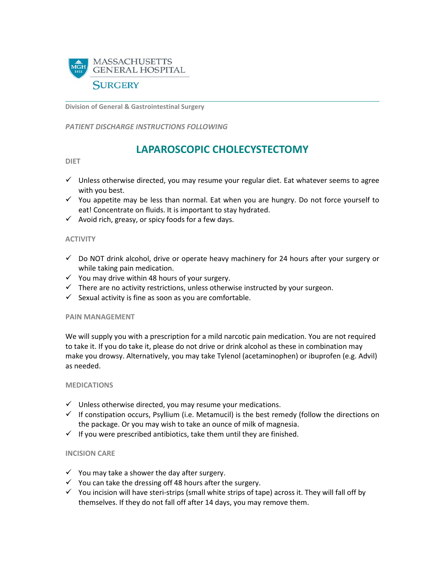

**Division of General & Gastrointestinal Surgery**

*PATIENT DISCHARGE INSTRUCTIONS FOLLOWING* 

# **LAPAROSCOPIC CHOLECYSTECTOMY**

#### **DIET**

- $\checkmark$  Unless otherwise directed, you may resume your regular diet. Eat whatever seems to agree with you best.
- $\checkmark$  You appetite may be less than normal. Eat when you are hungry. Do not force yourself to eat! Concentrate on fluids. It is important to stay hydrated.
- $\checkmark$  Avoid rich, greasy, or spicy foods for a few days.

## **ACTIVITY**

- $\checkmark$  Do NOT drink alcohol, drive or operate heavy machinery for 24 hours after your surgery or while taking pain medication.
- $\checkmark$  You may drive within 48 hours of your surgery.
- $\checkmark$  There are no activity restrictions, unless otherwise instructed by your surgeon.
- $\checkmark$  Sexual activity is fine as soon as you are comfortable.

#### **PAIN MANAGEMENT**

We will supply you with a prescription for a mild narcotic pain medication. You are not required to take it. If you do take it, please do not drive or drink alcohol as these in combination may make you drowsy. Alternatively, you may take Tylenol (acetaminophen) or ibuprofen (e.g. Advil) as needed.

#### **MEDICATIONS**

- $\checkmark$  Unless otherwise directed, you may resume your medications.
- $\checkmark$  If constipation occurs, Psyllium (i.e. Metamucil) is the best remedy (follow the directions on the package. Or you may wish to take an ounce of milk of magnesia.
- $\checkmark$  If you were prescribed antibiotics, take them until they are finished.

#### **INCISION CARE**

- $\checkmark$  You may take a shower the day after surgery.
- $\checkmark$  You can take the dressing off 48 hours after the surgery.
- $\checkmark$  You incision will have steri-strips (small white strips of tape) across it. They will fall off by themselves. If they do not fall off after 14 days, you may remove them.